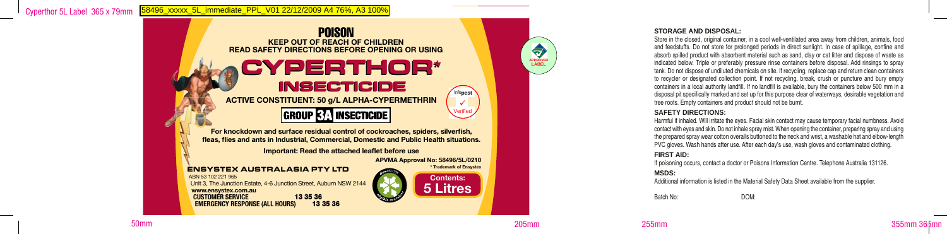

**fleas, flies and ants in Industrial, Commercial, Domestic and Public Health situations.**

**Important: Read the attached leaflet before use**

**APVMA Approval No: 58496/5L/0210**

ENSYSTEX AUSTRALASIA PTY LTD ABN 53 102 221 965 Unit 3, The Junction Estate, 4-6 Junction Street, Auburn NSW 2144 **www.ensystex.com.au CUSTOMER SERVICE** 13 35 36 **EMERGENCY RESPONSE (ALL HOURS)** 



#### **STORAGE AND DISPOSAL:**

Store in the closed, original container, in a cool well-ventilated area away from children, animals, food and feedstuffs. Do not store for prolonged periods in direct sunlight. In case of spillage, confine and absorb spilled product with absorbent material such as sand, clay or cat litter and dispose of waste as indicated below. Triple or preferably pressure rinse containers before disposal. Add rinsings to spray tank. Do not dispose of undiluted chemicals on site. If recycling, replace cap and return clean containers to recycler or designated collection point. If not recycling, break, crush or puncture and bury empty containers in a local authority landfill. If no landfill is available, bury the containers below 500 mm in a disposal pit specifically marked and set up for this purpose clear of waterways, desirable vegetation and tree roots. Empty containers and product should not be burnt.

#### **SAFETY DIRECTIONS:**

Harmful if inhaled. Will irritate the eyes. Facial skin contact may cause temporary facial numbness. Avoid contact with eyes and skin. Do not inhale spray mist. When opening the container, preparing spray and using the prepared spray wear cotton overalls buttoned to the neck and wrist, a washable hat and elbow-length PVC gloves. Wash hands after use. After each day's use, wash gloves and contaminated clothing.

#### **FIRST AID:**

If poisoning occurs, contact a doctor or Poisons Information Centre. Telephone Australia 131126.

#### **MSDS:**

Additional information is listed in the Material Safety Data Sheet available from the supplier.

Batch No: DOM:

50mm 205mm 255mm 355mm 365mm

**APPROVED LABEL**